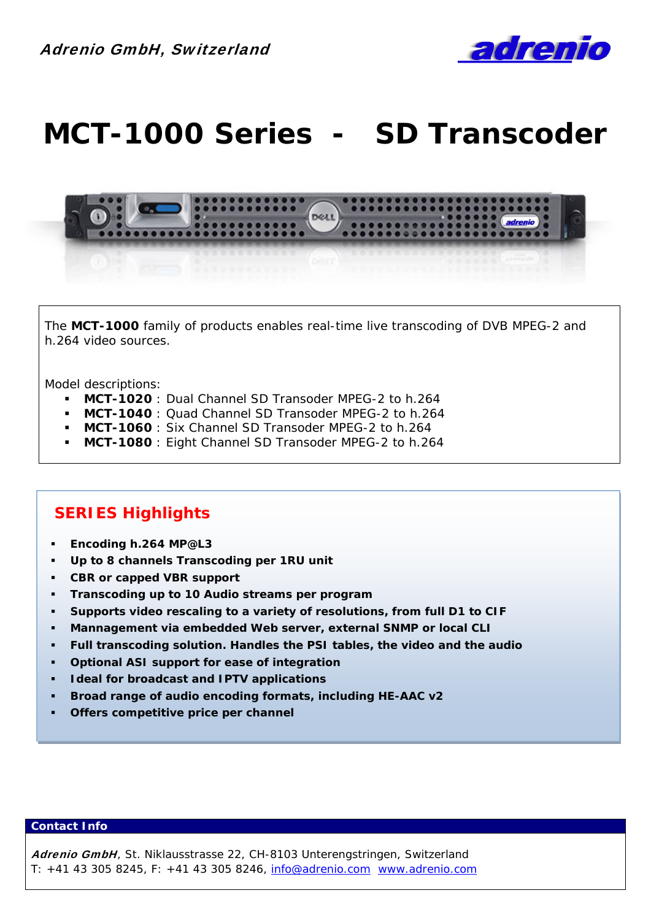

# **MCT-1000 Series - SD Transcoder**



The **MCT-1000** family of products enables real-time live transcoding of DVB MPEG-2 and h.264 video sources.

Model descriptions:

- **MCT-1020** : Dual Channel SD Transoder MPEG-2 to h.264
- **MCT-1040** : Quad Channel SD Transoder MPEG-2 to h.264
- **MCT-1060** : Six Channel SD Transoder MPEG-2 to h.264
- **MCT-1080** : Eight Channel SD Transoder MPEG-2 to h.264

### **SERIES Highlights**

- **Encoding h.264 MP@L3**
- **Up to 8 channels Transcoding per 1RU unit**
- **CBR or capped VBR support**
- **Transcoding up to 10 Audio streams per program**
- **Supports video rescaling to a variety of resolutions, from full D1 to CIF**
- **Mannagement via embedded Web server, external SNMP or local CLI**
- **Full transcoding solution. Handles the PSI tables, the video and the audio**
- **Optional ASI support for ease of integration**
- **Ideal for broadcast and IPTV applications**
- **Broad range of audio encoding formats, including HE-AAC v2**
- **Offers competitive price per channel**

### **Contact Info**

Adrenio GmbH, St. Niklausstrasse 22, CH-8103 Unterengstringen, Switzerland T: +41 43 305 8245, F: +41 43 305 8246, info@adrenio.com www.adrenio.com